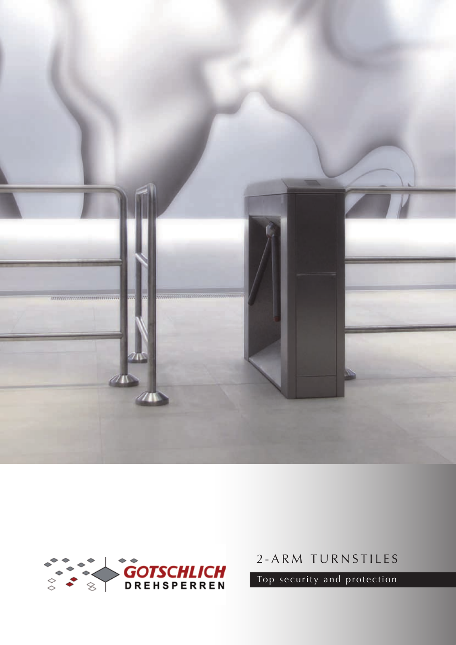



2-ARM TURNSTILES

Top security and protection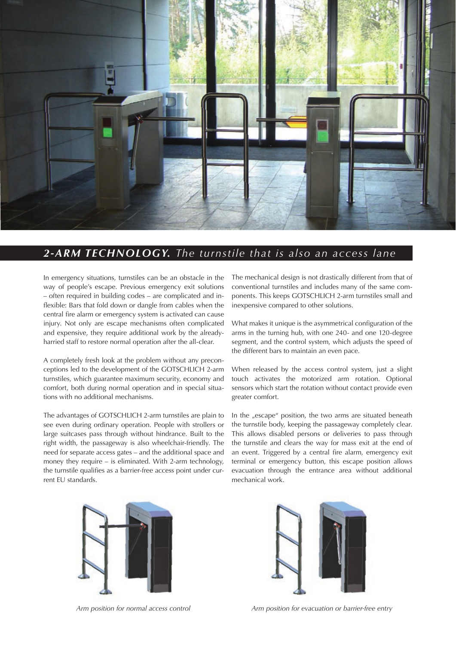

# *2-ARM TECHNOLOGY. The turnstile that is also an access lane*

In emergency situations, turnstiles can be an obstacle in the way of people's escape. Previous emergency exit solutions – often required in building codes – are complicated and inflexible: Bars that fold down or dangle from cables when the central fire alarm or emergency system is activated can cause injury. Not only are escape mechanisms often complicated and expensive, they require additional work by the alreadyharried staff to restore normal operation after the all-clear.

A completely fresh look at the problem without any preconceptions led to the development of the GOTSCHLICH 2-arm turnstiles, which guarantee maximum security, economy and comfort, both during normal operation and in special situations with no additional mechanisms.

The advantages of GOTSCHLICH 2-arm turnstiles are plain to see even during ordinary operation. People with strollers or large suitcases pass through without hindrance. Built to the right width, the passageway is also wheelchair-friendly. The need for separate access gates – and the additional space and money they require – is eliminated. With 2-arm technology, the turnstile qualifies as a barrier-free access point under current EU standards.

The mechanical design is not drastically different from that of conventional turnstiles and includes many of the same components. This keeps GOTSCHLICH 2-arm turnstiles small and inexpensive compared to other solutions.

What makes it unique is the asymmetrical configuration of the arms in the turning hub, with one 240- and one 120-degree segment, and the control system, which adjusts the speed of the different bars to maintain an even pace.

When released by the access control system, just a slight touch activates the motorized arm rotation. Optional sensors which start the rotation without contact provide even greater comfort.

In the "escape" position, the two arms are situated beneath the turnstile body, keeping the passageway completely clear. This allows disabled persons or deliveries to pass through the turnstile and clears the way for mass exit at the end of an event. Triggered by a central fire alarm, emergency exit terminal or emergency button, this escape position allows evacuation through the entrance area without additional mechanical work.





*Arm position for normal access control Arm position for evacuation or barrier-free entry*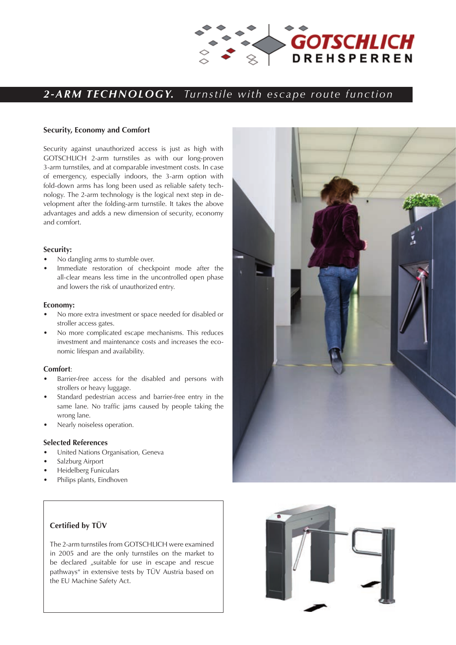

# *sicher – stabil –wirtschaftlich 2-ARM TECHNOLOGY. Turnstile with escape route function*

### **Security, Economy and Comfort**

Security against unauthorized access is just as high with GOTSCHLICH 2-arm turnstiles as with our long-proven 3-arm turnstiles, and at comparable investment costs. In case of emergency, especially indoors, the 3-arm option with fold-down arms has long been used as reliable safety technology. The 2-arm technology is the logical next step in development after the folding-arm turnstile. It takes the above advantages and adds a new dimension of security, economy and comfort.

### **Security:**

- No dangling arms to stumble over.
- Immediate restoration of checkpoint mode after the all-clear means less time in the uncontrolled open phase and lowers the risk of unauthorized entry.

#### **Economy:**

- No more extra investment or space needed for disabled or stroller access gates.
- No more complicated escape mechanisms. This reduces investment and maintenance costs and increases the economic lifespan and availability.

# **Comfort**:

- Barrier-free access for the disabled and persons with strollers or heavy luggage.
- Standard pedestrian access and barrier-free entry in the same lane. No traffic jams caused by people taking the wrong lane.
- Nearly noiseless operation.

### **Selected References**

- United Nations Organisation, Geneva
- Salzburg Airport
- Heidelberg Funiculars
- Philips plants, Eindhoven

# **Certified by TÜV**

The 2-arm turnstiles from GOTSCHLICH were examined in 2005 and are the only turnstiles on the market to be declared "suitable for use in escape and rescue pathways" in extensive tests by TÜV Austria based on the EU Machine Safety Act.